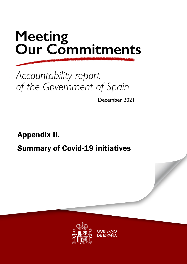# Accountability report of the Government of Spain

December 2021

# Appendix II. Summary of Covid-19 initiatives

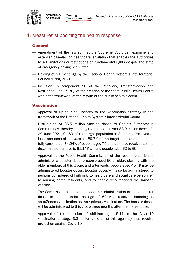

**GOBIERNO** DE ESPAÑA

### 1. Measures supporting the health response

Meeting

#### **General**

- Amendment of the law so that the Supreme Court can examine and establish case-law on healthcare legislation that enables the authorities to set limitations or restrictions on fundamental rights despite the state of emergency having been lifted.
- $-$  Holding of 51 meetings by the National Health System's Interterritorial Council during 2021.
- Inclusion, in component 18 of the Recovery, Transformation and Resilience Plan (RTRP), of the creation of the State Public Health Centre within the framework of the reform of the public health system.

#### Vaccination

- Approval of up to nine updates to the Vaccination Strategy in the framework of the National Health System's Interterritorial Council.
- Distribution of 85.5 million vaccine doses to Spain's Autonomous Communities, thereby enabling them to administer 83.9 million doses. At 20 June 2021, 91.8% of the target population in Spain has received at least one dose of the vaccine. 89.7% of the target population has been fully vaccinated. 84.24% of people aged 70 or older have received a third dose; this percentage is 61.14% among people aged 60 to 69.
- Approval by the Public Health Commission of the recommendation to administer a booster dose to people aged 50 or older, starting with the older members of this group, and afterwards, people aged 40-49 may be administered booster doses. Booster doses will also be administered to persons considered of high risk, to healthcare and social care personnel, to nursing home residents, and to people who received the Janssen vaccine.

The Commission has also approved the administration of these booster doses to people under the age of 60 who received homologous AstraZeneca vaccination as their primary vaccination. The booster doses will be administered to this group three months after their latest dose.

 Approval of the inclusion of children aged 5-11 in the Covid-19 vaccination strategy. 3.3 million children of this age may thus receive protection against Covid-19.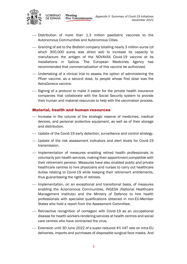

**GOBIERNO** DE ESPAÑA

- Distribution of more than 1.3 million paediatric vaccines to the Autonomous Communities and Autonomous Cities.
- Granting of aid to the Biofabri company totalling nearly 3 million euros (of which 300,000 euros was direct aid) to increase its capacity to manufacture the antigen of the NOVAVAX Covid-19 vaccine at its installations in Galicia. The European Medicines Agency has recommended that commercialization of this vaccine be authorized.
- Undertaking of a clinical trial to assess the option of administering the Pfizer vaccine, as a second dose, to people whose first dose was the AstraZeneca vaccine.
- Signing of a protocol to make it easier for the private health insurance companies that collaborate with the Social Security system to provide their human and material resources to help with the vaccination process.

#### Material, health and human resources

- Increase in the volume of the strategic reserve of medicines, medical devices, and personal protective equipment, as well as of their storage and distribution.
- Update of the Covid-19 early detection, surveillance and control strategy.
- Update of the risk assessment indicators and alert levels for Covid-19 transmission.
- Implementation of measures enabling retired health professionals to voluntarily join health services, making their appointment compatible with their retirement pension. Measures have also enabled public and private healthcare centres to hire physicians and nurses to carry out healthcare duties relating to Covid-19 while keeping their retirement entitlements, thus guaranteeing the rights of retirees.
- Implementation, on an exceptional and transitional basis, of measures enabling the Autonomous Communities, INGESA (National Healthcare Management Institute) and the Ministry of Defence to hire health professionals with specialist qualifications obtained in non-EU-Member States who hold a report from the Assessment Committee.
- Retroactive recognition of contagion with Covid-19 as an occupational disease for health workers rendering services at health centres and social care centres who have contracted the virus.
- Extension until 30 June 2022 of a super-reduced 4% VAT rate on intra-EU deliveries, imports and purchases of disposable surgical face masks. And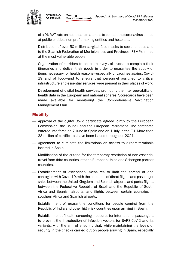



**GOBIERNO** DE ESPAÑA

of a 0% VAT rate on healthcare materials to combat the coronavirus aimed at public entities, non-profit-making entities and hospitals.

- Distribution of over 50 million surgical face masks to social entities and to the Spanish Federation of Municipalities and Provinces (FEMP), aimed at the most vulnerable people.
- Organization of corridors to enable convoys of trucks to complete their itineraries and deliver their goods in order to guarantee the supply of items necessary for health reasons—especially of vaccines against Covid-19 and of food—and to ensure that personnel assigned to critical infrastructure and essential services were present in their places of work.
- Development of digital health services, promoting the inter-operability of health data in the European and national spheres. Scorecards have been made available for monitoring the Comprehensive Vaccination Management Plan.

#### **Mobility**

- Approval of the digital Covid certificate agreed jointly by the European Commission, the Council and the European Parliament. The certificate entered into force on 7 June in Spain and on 1 July in the EU. More than 38 million of certificates have been issued throughout 2021.
- Agreement to eliminate the limitations on access to airport terminals located in Spain.
- Modification of the criteria for the temporary restriction of non-essential travel from third countries into the European Union and Schengen partner countries.
- Establishment of exceptional measures to limit the spread of and contagion with Covid-19, with the limitation of direct flights and passenger ships between the United Kingdom and Spanish airports and ports; flights between the Federative Republic of Brazil and the Republic of South Africa and Spanish airports; and flights between certain countries in southern Africa and Spanish airports.
- Establishment of quarantine conditions for people coming from the Republic of India and other high-risk countries upon arriving in Spain.
- Establishment of health screening measures for international passengers to prevent the introduction of infection vectors for SARS-CoV-2 and its variants, with the aim of ensuring that, while maintaining the levels of security in the checks carried out on people arriving in Spain, especially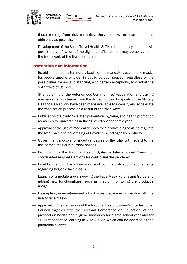

those coming from risk countries, these checks are carried out as efficiently as possible.

 Development of the Spain Travel Health-SpTH information system that will permit the verification of the digital certificates that may be activated in the framework of the European Union.

#### Protection and information

**GOBIERNO** DE ESPAÑA

- Establishment, on a temporary basis, of the mandatory use of face masks for people aged 6 or older in public outdoor spaces, regardless of the possibilities for social distancing, with certain exceptions, to combat the sixth wave of Covid-19.
- $-$  Strengthening of the Autonomous Communities' vaccination and tracing mechanisms with teams from the Armed Forces. Hospitals of the Military Healthcare Network have been made available to intensify and accelerate the vaccination process as a result of the sixth wave.
- Publication of Covid-19-related prevention, hygiene, and health promotion measures for universities in the 2021-2022 academic year.
- Approval of the use of medical devices for "in vitro" diagnosis, to regulate the retail sale and advertising of Covid-19 self-diagnosis products.
- Government approval of a certain degree of flexibility with regard to the use of face masks in outdoor spaces.
- Promotion by the National Health System's Interterritorial Council of coordinated response actions for controlling the pandemic.
- Establishment of the information and commercialization requirements regarding hygienic face masks.
- Launch of a mobile app improving the Face Mask Purchasing Guide and adding new functionalities, such as that of monitoring the product's usage.
- Description, in an agreement, of activities that are incompatible with the use of face masks.
- Approval, in the framework of the National Health System's Interterritorial Council together with the Sectoral Conference on Education, of the protocol on health and hygiene measures for a safe school year and for 100% face-to-face learning in 2021-2022, which can be adapted as the pandemic evolves.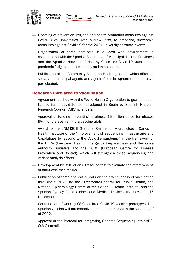

**GOBIERNO** DE ESPAÑA

- Updating of prevention, hygiene and health promotion measures against Covid-19 at universities, with a view, also, to preparing preventive measures against Covid-19 for the 2021 university entrance exams.
- Organization of three seminars in a local web environment in collaboration with the Spanish Federation of Municipalities and Provinces and the Spanish Network of Healthy Cities on: Covid-19 vaccination, pandemic fatigue, and community action on health.
- Publication of the Community Action on Health guide, in which different social and municipal agents and agents from the sphere of health have participated.

#### Research unrelated to vaccination

- Agreement reached with the World Health Organization to grant an open licence for a Covid-19 test developed in Spain by Spanish National Research Council (CSIC) scientists.
- Approval of funding amounting to almost 15 million euros for phases IIb/III of the Spanish Hipra vaccine trials.
- Award to the CNM-ISCIII (National Centre for Microbiology Carlos III Health Institute) of the "Improvement of Sequencing Infrastructure and Capabilities to respond to the Covid-19 pandemic" in the framework of the HERA (European Health Emergency Preparedness and Response Authority) initiative and the ECDC (European Centre for Disease Prevention and Control), which will strengthen these sequencing and variant analysis efforts.
- $-$  Development by CSIC of an ultrasound test to evaluate the effectiveness of anti-Covid face masks.
- Publication of three analysis reports on the effectiveness of vaccination throughout 2021 by the Directorate-General for Public Health, the National Epidemiology Centre of the Carlos III Health Institute, and the Spanish Agency for Medicines and Medical Devices, the latest on 17 December.
- Continuation of work by CSIC on three Covid-19 vaccine prototypes. The Spanish vaccine will foreseeably be put on the market in the second half of 2022.
- Approval of the Protocol for Integrating Genome Sequencing into SARS-CoV-2 surveillance.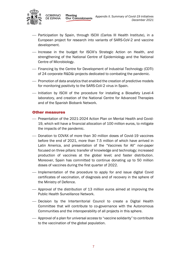

**GOBIERNO** 

DE ESPAÑA

- Participation by Spain, through ISCIII (Carlos III Health Institute), in a European project for research into variants of SARS-CoV-2 and vaccine development.
- $-$  Increase in the budget for ISCIII's Strategic Action on Health, and strengthening of the National Centre of Epidemiology and the National Centre of Microbiology.
- Financing by the Centre for Development of Industrial Technology (CDTI) of 24 corporate R&D&i projects dedicated to combating the pandemic.
- Promotion of data analytics that enabled the creation of predictive models for monitoring positivity to the SARS-CoV-2 virus in Spain.
- $-$  Initiation by ISCIII of the procedure for installing a Biosafety Level-4 laboratory, and creation of the National Centre for Advanced Therapies and of the Spanish Biobank Network.

#### Other measures

- Presentation of the 2021-2024 Action Plan on Mental Health and Covid-19, which will have a financial allocation of 100 million euros, to mitigate the impacts of the pandemic.
- Donation to COVAX of more than 30 million doses of Covid-19 vaccines before the end of 2021, more than [7.5 million of which have arrived in](https://www.lamoncloa.gob.es/presidente/actividades/Paginas/2021/220921-sanchez_cumbre.aspx)  [Latin America,](https://www.lamoncloa.gob.es/presidente/actividades/Paginas/2021/220921-sanchez_cumbre.aspx) and presentation of the "Vaccines for All" non-paper focused on three pillars: transfer of knowledge and technology; increased production of vaccines at the global level; and faster distribution. Moreover, Spain has committed to continue donating up to 50 million doses of vaccines during the first quarter of 2022.
- Implementation of the procedure to apply for and issue digital Covid certificates of vaccination, of diagnosis and of recovery in the sphere of the Ministry of Defence.
- Approval of the distribution of 13 million euros aimed at improving the Public Health Surveillance Network.
- Decision by the Interterritorial Council to create a Digital Health Committee that will contribute to co-governance with the Autonomous Communities and the interoperability of all projects in this sphere.
- Approval of a plan for universal access to "vaccine solidarity" to contribute to the vaccination of the global population.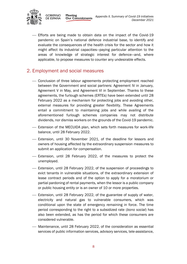

**GOBIERNO** DE ESPAÑA

- Efforts are being made to obtain data on the impact of the Covid-19 pandemic on Spain's national defence industrial base, to identify and evaluate the consequences of the health crisis for the sector and how it might affect its industrial capacities—paying particular attention to the areas of knowledge of strategic interest for defence—and, where applicable, to propose measures to counter any undesirable effects.

## 2. Employment and social measures

- Conclusion of three labour agreements protecting employment reached between the Government and social partners: Agreement IV in January, Agreement V in May, and Agreement VI in September. Thanks to these agreements, the furlough schemes (ERTEs) have been extended until 28 February 2022 as a mechanism for protecting jobs and avoiding other, external measures for providing greater flexibility. These Agreements entail a commitment to maintaining jobs and while availing of the aforementioned furlough schemes companies may not distribute dividends, nor dismiss workers on the grounds of the Covid-19 pandemic.
- Extension of the MECUIDA plan, which sets forth measures for work-life balance, until 28 February 2022.
- Extension, until 30 November 2021, of the deadline for lessors and owners of housing affected by the extraordinary suspension measures to submit an application for compensation.
- Extension, until 28 February 2022, of the measures to protect the unemployed.
- Extension, until 28 February 2022, of the suspension of proceedings to evict tenants in vulnerable situations, of the extraordinary extension of lease contract periods and of the option to apply for a moratorium or partial pardoning of rental payments, when the lessor is a public company or public housing entity or is an owner of 10 or more properties.
- Extension, until 28 February 2022, of the guarantee of supply of water, electricity and natural gas to vulnerable consumers, which was conditional upon the state of emergency remaining in force. The time period corresponding to the right to a subsidized rate (*bono social*) has also been extended, as has the period for which these consumers are considered vulnerable.
- Maintenance, until 28 February 2022, of the consideration as essential services of public information services, advisory services, tele-assistance,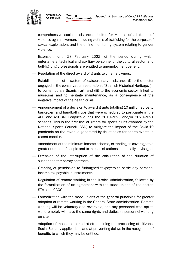

comprehensive social assistance, shelter for victims of all forms of violence against women, including victims of trafficking for the purpose of sexual exploitation, and the online monitoring system relating to gender violence.

- Extension, until 28 February 2022, of the period during which entertainers, technical and auxiliary personnel of the cultural sector, and bull-fighting professionals are entitled to unemployment benefit.
- Regulation of the direct award of grants to cinema owners.
- Establishment of a system of extraordinary assistance (i) to the sector engaged in the conservation-restoration of Spanish Historical Heritage, (ii) to contemporary Spanish art, and (iii) to the economic sector linked to museums and to heritage maintenance, as a consequence of the negative impact of the health crisis.
- Announcement of a decision to award grants totalling 10 million euros to basketball and handball clubs that were scheduled to participate in the ACB and ASOBAL Leagues during the 2019-2020 and/or 2020-2021 seasons. This is the first line of grants for sports clubs awarded by the National Sports Council (CSD) to mitigate the impact of the Covid-19 pandemic on the revenue generated by ticket sales for sports events in recent months.
- Amendment of the minimum income scheme, extending its coverage to a greater number of people and to include situations not initially envisaged.
- Extension of the interruption of the calculation of the duration of suspended temporary contracts.
- Granting of permission to furloughed taxpayers to settle any personal income tax payable in instalments.
- Regulation of remote working in the Justice Administration, followed by the formalization of an agreement with the trade unions of the sector: STAJ and CCOO.
- Formalization with the trade unions of the general principles for greater adoption of remote working in the General State Administration. Remote working will be voluntary and reversible, and any personnel who opt to work remotely will have the same rights and duties as personnel working on site.
- Adoption of measures aimed at streamlining the processing of citizens' Social Security applications and at preventing delays in the recognition of benefits to which they may be entitled.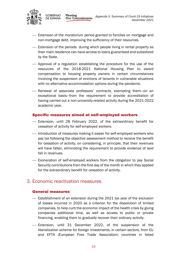

**GOBIERNO** DE ESPAÑA

- Extension of the moratorium period granted to families on mortgage and non-mortgage debt, improving the sufficiency of their resources.
- Extension of the periods during which people living in rental property as their main residence can have access to loans guaranteed and subsidized by the State.
- Approval of a regulation establishing the procedure for the use of the resources of the 2018-2021 National Housing Plan to award compensation to housing property owners in certain circumstances involving the suspension of evictions of tenants in vulnerable situations with no alternative accommodation options during the pandemic.
- Renewal of associate professors' contracts, exempting them—on an exceptional basis—from the requirement to provide accreditation of having carried out a non-university-related activity during the 2021-2022 academic year.

#### Specific measures aimed at self-employed workers

- Extension, until 28 February 2022, of the extraordinary benefit for cessation of activity for self-employed workers.
- $-$  Introduction of measures making it easier for self-employed workers who pay tax following the objective assessment method to receive the benefit for cessation of activity, on considering, in principle, that their revenues will have fallen, eliminating the requirement to provide evidence of said fall in revenues.
- Exoneration of self-employed workers from the obligation to pay Social Security contributions from the first day of the month in which they applied for the extraordinary benefit for cessation of activity.

### 3. Economic reactivation measures

#### General measures

- Establishment of an extension during the 2021 tax year of the exclusion of losses incurred in 2020 as a criterion for the dissolution of limited companies, to help curb the economic impact of the health crisis by giving companies additional time, as well as access to public or private financing, enabling them to gradually recover their ordinary activity.
- Extension, until 31 December 2022, of the suspension of the liberalization scheme for foreign investments, in certain sectors, from EU and EFTA (European Free Trade Association) countries in listed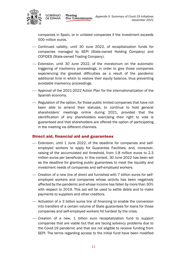

**GOBIERNO** DE ESPAÑA

companies in Spain, or in unlisted companies if the investment exceeds 500 million euros.

- Continued validity, until 30 June 2022, of recapitalization funds for companies managed by SEPI (State-owned Holding Company) and COFIDES (State-owned Trading Company).
- Extension, until 30 June 2022, of the moratorium on the automatic triggering of insolvency proceedings, in order to give those companies experiencing the greatest difficulties as a result of the pandemic additional time in which to restore their equity balance, thus preventing avoidable insolvency proceedings.
- Approval of the 2021-2022 Action Plan for the internationalization of the Spanish economy.
- Regulation of the option, for those public limited companies that have not been able to amend their statutes, to continue to hold general shareholders' meetings online during 2021, provided that the identification of any shareholders exercising their right to vote is guaranteed and that shareholders are offered the option of participating in the meeting via different channels.

#### Direct aid, financial aid and guarantees

- Extension, until 1 June 2022, of the deadline for companies and selfemployed workers to apply for Guarantee Facilities; and, moreover, raising of the accumulated aid threshold, from 1.8 million euros to 2.3 million euros per beneficiary. In this context, 30 June 2022 has been set as the deadline for granting public guarantees to meet the liquidity and investment needs of companies and self-employed workers.
- Creation of a new line of direct aid furnished with 7 billion euros for selfemployed workers and companies whose activity has been negatively affected by the pandemic and whose income has fallen by more than 30% with respect to 2019. This aid will be used to settle debts and to make payments to suppliers and other creditors.
- Activation of a 3 billion euros line of financing to enable the conversion into transfers of a certain volume of State guarantees for loans for those companies and self-employed workers hit hardest by the crisis.
- Creation of a new, 1 billion euro recapitalization fund to support companies that are viable but that are facing solvency problems due to the Covid-19 pandemic and that are not eligible to receive funding from SEPI. The terms regarding access to the initial fund have been modified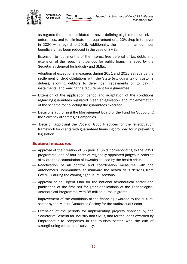



**GOBIERNO** 

DE ESPAÑA

as regards the net consolidated turnover defining eligible medium-sized enterprises, and to eliminate the requirement of a 20% drop in turnover in 2020 with regard to 2019. Additionally, the minimum amount per beneficiary has been reduced in the case of SMEs.

- Extension to four months of the interest-free deferral of tax debts and extension of the repayment periods for public loans managed by the Secretariat-General for Industry and SMEs.
- Adoption of exceptional measures during 2021 and 2022 as regards the settlement of debt obligations with the State (excluding tax or customs duties), allowing debtors to defer loan repayments or to pay in instalments, and waiving the requirement for a guarantee.
- Extension of the application period and adaptation of the conditions regarding guarantees regulated in earlier legislation, and implementation of the scheme for collecting the guarantees executed.
- Decisions authorizing the Management Board of the Fund for Supporting the Solvency of Strategic Companies.
- Decision approving the Code of Good Practices for the renegotiation framework for clients with guaranteed financing provided for in prevailing legislation.

#### Sectoral measures

- Approval of the creation of 56 judicial units corresponding to the 2021 programme, and of four posts of regionally appointed judges in order to alleviate the accumulation of lawsuits caused by the health crisis.
- Reactivation of all control and coordination measures with the Autonomous Communities, to minimize the health risks deriving from Covid-19 during the coming agricultural seasons.
- Approval of an Urgent Plan for the national aeronautical sector and publication of the first call for grant applications of the Technological Aeronautical Programme, with 35 million euros in grants.
- Improvement of the conditions of the financing awarded to the cultural sector by the Mutual Guarantee Society for the Audiovisual Sector.
- Extension of the periods for implementing projects financed by the Secretariat-General for Industry and SMEs, and for the loans awarded by Emprendetur to companies in the tourism sector, with the aim of strengthening companies' solvency.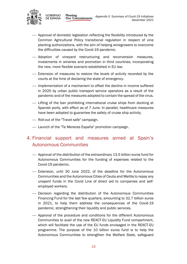

**GOBIERNO** DE ESPAÑA

- Approval of domestic legislation reflecting the flexibility introduced by the Common Agricultural Policy transitional regulation in respect of vine planting authorizations, with the aim of helping winegrowers to overcome the difficulties caused by the Covid-19 pandemic.
- Adoption of vineyard restructuring and reconversion measures, investments in wineries and promotion in third countries, incorporating the new, more flexible scenario established in EU law.
- Extension of measures to restore the levels of activity recorded by the courts at the time of declaring the state of emergency.
- Implementation of a mechanism to offset the decline in income suffered in 2020 by urban public transport service operators as a result of the pandemic and of the measures adopted to contain the spread of the virus.
- Lifting of the ban prohibiting international cruise ships from docking at Spanish ports, with effect as of 7 June. In parallel, healthcare measures have been adopted to guarantee the safety of cruise ship activity.
- Roll-out of the "Travel safe" campaign.
- Launch of the "Te Mereces España" promotion campaign.

# 4. Financial support and measures aimed at Spain's Autonomous Communities

- Approval of the distribution of the extraordinary 13.5 billion euros fund for Autonomous Communities for the funding of expenses related to the Covid-19 pandemic.
- Extension, until 30 June 2022, of the deadline for the Autonomous Communities and the Autonomous Cities of Ceuta and Melilla to repay any unspent funds in the Covid Line of direct aid to companies and selfemployed workers.
- Decision regarding the distribution of the Autonomous Communities Financing Fund for the last few quarters, amounting to 32.7 billion euros in 2021, to help them address the consequences of the Covid-19 pandemic, strengthening their liquidity and public services.
- Approval of the procedure and conditions for the different Autonomous Communities to avail of the new REACT-EU Liquidity Fund compartment, which will facilitate the use of the EU funds envisaged in the REACT-EU programme. The purpose of the 10 billion euros fund is to help the Autonomous Communities to strengthen the Welfare State, safeguard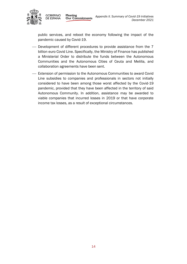



public services, and reboot the economy following the impact of the pandemic caused by Covid-19.

- Development of different procedures to provide assistance from the 7 billion euro Covid Line. Specifically, the Ministry of Finance has published a Ministerial Order to distribute the funds between the Autonomous Communities and the Autonomous Cities of Ceuta and Melilla, and collaboration agreements have been sent.
- Extension of permission to the Autonomous Communities to award Covid Line subsidies to companies and professionals in sectors not initially considered to have been among those worst affected by the Covid-19 pandemic, provided that they have been affected in the territory of said Autonomous Community. In addition, assistance may be awarded to viable companies that incurred losses in 2019 or that have corporate income tax losses, as a result of exceptional circumstances.